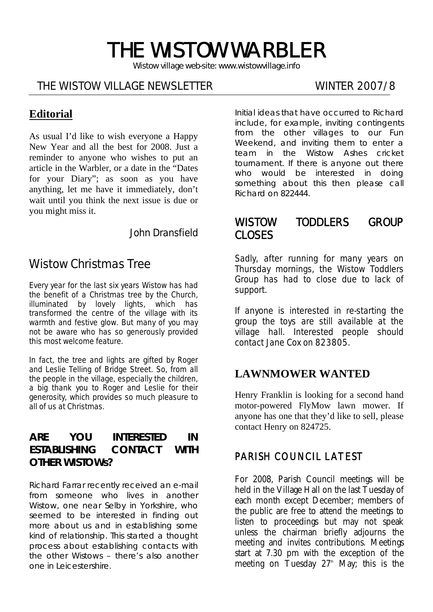# THE WISTOW WARBLER

*Wistow village web-site: www.wistowvillage.info* 

I

#### THE WISTOW VILLAGE NEWSLETTER WINTER 2007/8

# **Editorial**

As usual I'd like to wish everyone a Happy New Year and all the best for 2008. Just a reminder to anyone who wishes to put an article in the Warbler, or a date in the "Dates for your Diary"; as soon as you have anything, let me have it immediately, don't wait until you think the next issue is due or you might miss it.

John Dransfield

# Wistow Christmas Tree

Every year for the last six years Wistow has had the benefit of a Christmas tree by the Church, illuminated by lovely lights, which has transformed the centre of the village with its warmth and festive glow. But many of you may not be aware who has so generously provided this most welcome feature.

In fact, the tree and lights are gifted by Roger and Leslie Telling of Bridge Street. So, from all the people in the village, especially the children, a big thank you to Roger and Leslie for their generosity, which provides so much pleasure to all of us at Christmas.

#### **ARE YOU INTERESTED IN ESTABLISHING CONTACT WITH OTHER WISTOWs?**

Richard Farrar recently received an e-mail from someone who lives in another Wistow, one near Selby in Yorkshire, who seemed to be interested in finding out more about us and in establishing some kind of relationship. This started a thought process about establishing contacts with the other Wistows – there's also another one in Leicestershire.

Initial ideas that have occurred to Richard include, for example, inviting contingents from the other villages to our Fun Weekend, and inviting them to enter a team in the Wistow Ashes cricket tournament. If there is anyone out there who would be interested in doing something about this then please call Richard on 822444.

### WISTOW TODDLERS GROUP CLOSES

Sadly, after running for many years on Thursday mornings, the Wistow Toddlers Group has had to close due to lack of support.

If anyone is interested in re-starting the group the toys are still available at the village hall. Interested people should contact Jane Cox on 823805.

#### **LAWNMOWER WANTED**

Henry Franklin is looking for a second hand motor-powered FlyMow lawn mower. If anyone has one that they'd like to sell, please contact Henry on 824725.

#### PARISH COUNCIL LATEST

For 2008, Parish Council meetings will be held in the Village Hall on the last Tuesday of each month except December; members of the public are free to attend the meetings to listen to proceedings but may not speak unless the chairman briefly adjourns the meeting and invites contributions. Meetings start at 7.30 pm with the exception of the meeting on Tuesday  $27<sup>th</sup>$  May; this is the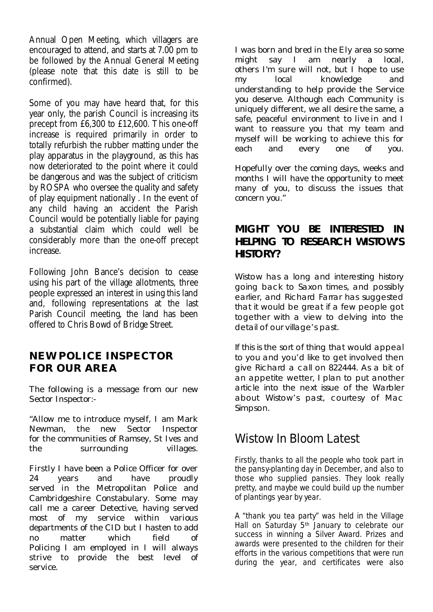Annual Open Meeting, which villagers are encouraged to attend, and starts at 7.00 pm to be followed by the Annual General Meeting (please note that this date is still to be confirmed).

Some of you may have heard that, for this year only, the parish Council is increasing its precept from £6,300 to £12,600. This one-off increase is required primarily in order to totally refurbish the rubber matting under the play apparatus in the playground, as this has now deteriorated to the point where it could be dangerous and was the subject of criticism by ROSPA who oversee the quality and safety of play equipment nationally . In the event of any child having an accident the Parish Council would be potentially liable for paying a substantial claim which could well be considerably more than the one-off precept increase.

Following John Bance's decision to cease using his part of the village allotments, three people expressed an interest in using this land and, following representations at the last Parish Council meeting, the land has been offered to Chris Bowd of Bridge Street.

#### **NEW POLICE INSPECTOR FOR OUR AREA**

The following is a message from our new Sector Inspector:-

"Allow me to introduce myself, I am Mark Newman, the new Sector Inspector for the communities of Ramsey, St Ives and the surrounding villages.

Firstly I have been a Police Officer for over 24 years and have proudly served in the Metropolitan Police and Cambridgeshire Constabulary. Some may call me a career Detective, having served most of my service within various departments of the CID but I hasten to add no matter which field of Policing I am employed in I will always strive to provide the best level of service.

I was born and bred in the Ely area so some might say I am nearly a local, others I'm sure will not, but I hope to use my local knowledge and understanding to help provide the Service you deserve. Although each Community is uniquely different, we all desire the same, a safe, peaceful environment to live in and I want to reassure you that my team and myself will be working to achieve this for each and every one of you.

Hopefully over the coming days, weeks and months I will have the opportunity to meet many of you, to discuss the issues that concern you."

#### **MIGHT YOU BE INTERESTED IN HELPING TO RESEARCH WISTOW'S HISTORY?**

Wistow has a long and interesting history going back to Saxon times, and possibly earlier, and Richard Farrar has suggested that it would be great if a few people got together with a view to delving into the detail of our village's past.

If this is the sort of thing that would appeal to you and you'd like to get involved then give Richard a call on 822444. As a bit of an appetite wetter, I plan to put another article into the next issue of the Warbler about Wistow's past, courtesy of Mac Simpson.

# Wistow In Bloom Latest

Firstly, thanks to all the people who took part in the pansy-planting day in December, and also to those who supplied pansies. They look really pretty, and maybe we could build up the number of plantings year by year.

A "thank you tea party" was held in the Village Hall on Saturday 5<sup>th</sup> January to celebrate our success in winning a Silver Award. Prizes and awards were presented to the children for their efforts in the various competitions that were run during the year, and certificates were also